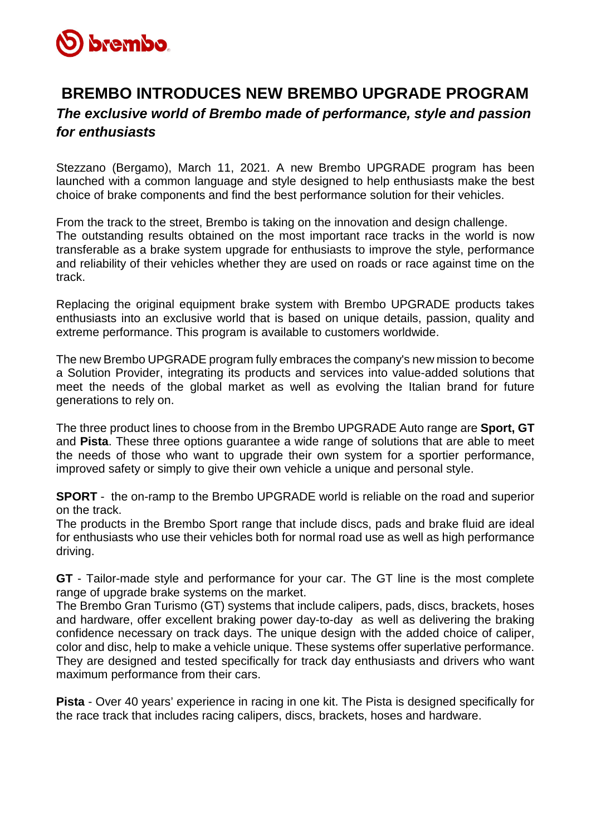

## **BREMBO INTRODUCES NEW BREMBO UPGRADE PROGRAM**  *The exclusive world of Brembo made of performance, style and passion for enthusiasts*

Stezzano (Bergamo), March 11, 2021. A new Brembo UPGRADE program has been launched with a common language and style designed to help enthusiasts make the best choice of brake components and find the best performance solution for their vehicles.

From the track to the street, Brembo is taking on the innovation and design challenge. The outstanding results obtained on the most important race tracks in the world is now transferable as a brake system upgrade for enthusiasts to improve the style, performance and reliability of their vehicles whether they are used on roads or race against time on the track.

Replacing the original equipment brake system with Brembo UPGRADE products takes enthusiasts into an exclusive world that is based on unique details, passion, quality and extreme performance. This program is available to customers worldwide.

The new Brembo UPGRADE program fully embraces the company's new mission to become a Solution Provider, integrating its products and services into value-added solutions that meet the needs of the global market as well as evolving the Italian brand for future generations to rely on.

The three product lines to choose from in the Brembo UPGRADE Auto range are **Sport, GT**  and **Pista**. These three options guarantee a wide range of solutions that are able to meet the needs of those who want to upgrade their own system for a sportier performance, improved safety or simply to give their own vehicle a unique and personal style.

**SPORT** - the on-ramp to the Brembo UPGRADE world is reliable on the road and superior on the track.

The products in the Brembo Sport range that include discs, pads and brake fluid are ideal for enthusiasts who use their vehicles both for normal road use as well as high performance driving.

**GT** - Tailor-made style and performance for your car. The GT line is the most complete range of upgrade brake systems on the market.

The Brembo Gran Turismo (GT) systems that include calipers, pads, discs, brackets, hoses and hardware, offer excellent braking power day-to-day as well as delivering the braking confidence necessary on track days. The unique design with the added choice of caliper, color and disc, help to make a vehicle unique. These systems offer superlative performance. They are designed and tested specifically for track day enthusiasts and drivers who want maximum performance from their cars.

**Pista** - Over 40 years' experience in racing in one kit. The Pista is designed specifically for the race track that includes racing calipers, discs, brackets, hoses and hardware.